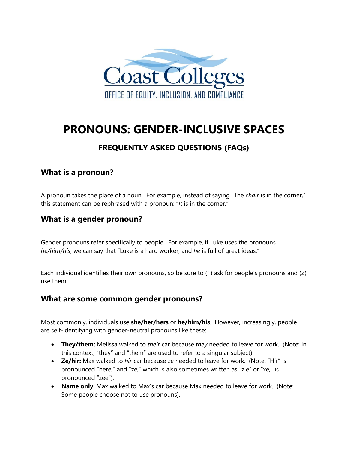

# **PRONOUNS: GENDER-INCLUSIVE SPACES**

# **FREQUENTLY ASKED QUESTIONS (FAQs)**

# **What is a pronoun?**

A pronoun takes the place of a noun. For example, instead of saying "The *chair* is in the corner," this statement can be rephrased with a pronoun: "*It* is in the corner."

#### **What is a gender pronoun?**

Gender pronouns refer specifically to people. For example, if Luke uses the pronouns *he/him/his*, we can say that "Luke is a hard worker, and *he* is full of great ideas."

Each individual identifies their own pronouns, so be sure to (1) ask for people's pronouns and (2) use them.

#### **What are some common gender pronouns?**

Most commonly, individuals use **she/her/hers** or **he/him/his**. However, increasingly, people are self-identifying with gender-neutral pronouns like these:

- **They/them:** Melissa walked to *their* car because *they* needed to leave for work. (Note: In this context, "they" and "them" are used to refer to a singular subject).
- **Ze/hir:** Max walked to *hir* car because *ze* needed to leave for work. (Note: "Hir" is pronounced "here," and "ze," which is also sometimes written as "zie" or "xe," is pronounced "zee").
- **Name only**: Max walked to Max's car because Max needed to leave for work. (Note: Some people choose not to use pronouns).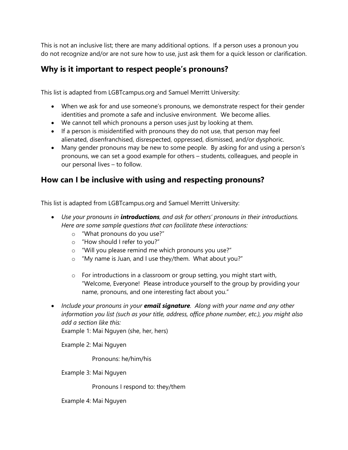This is not an inclusive list; there are many additional options. If a person uses a pronoun you do not recognize and/or are not sure how to use, just ask them for a quick lesson or clarification.

# **Why is it important to respect people's pronouns?**

This list is adapted from LGBTcampus.org and Samuel Merritt University:

- When we ask for and use someone's pronouns, we demonstrate respect for their gender identities and promote a safe and inclusive environment. We become allies.
- We cannot tell which pronouns a person uses just by looking at them.
- If a person is misidentified with pronouns they do not use, that person may feel alienated, disenfranchised, disrespected, oppressed, dismissed, and/or dysphoric.
- Many gender pronouns may be new to some people. By asking for and using a person's pronouns, we can set a good example for others – students, colleagues, and people in our personal lives – to follow.

# **How can I be inclusive with using and respecting pronouns?**

This list is adapted from LGBTcampus.org and Samuel Merritt University:

- *Use your pronouns in introductions, and ask for others' pronouns in their introductions. Here are some sample questions that can facilitate these interactions:* 
	- o "What pronouns do you use?"
	- o "How should I refer to you?"
	- o "Will you please remind me which pronouns you use?"
	- o "My name is Juan, and I use they/them. What about you?"
	- o For introductions in a classroom or group setting, you might start with, "Welcome, Everyone! Please introduce yourself to the group by providing your name, pronouns, and one interesting fact about you."
- *Include your pronouns in your email signature. Along with your name and any other information you list (such as your title, address, office phone number, etc.), you might also add a section like this:*

Example 1: Mai Nguyen (she, her, hers)

Example 2: Mai Nguyen

Pronouns: he/him/his

Example 3: Mai Nguyen

Pronouns I respond to: they/them

Example 4: Mai Nguyen